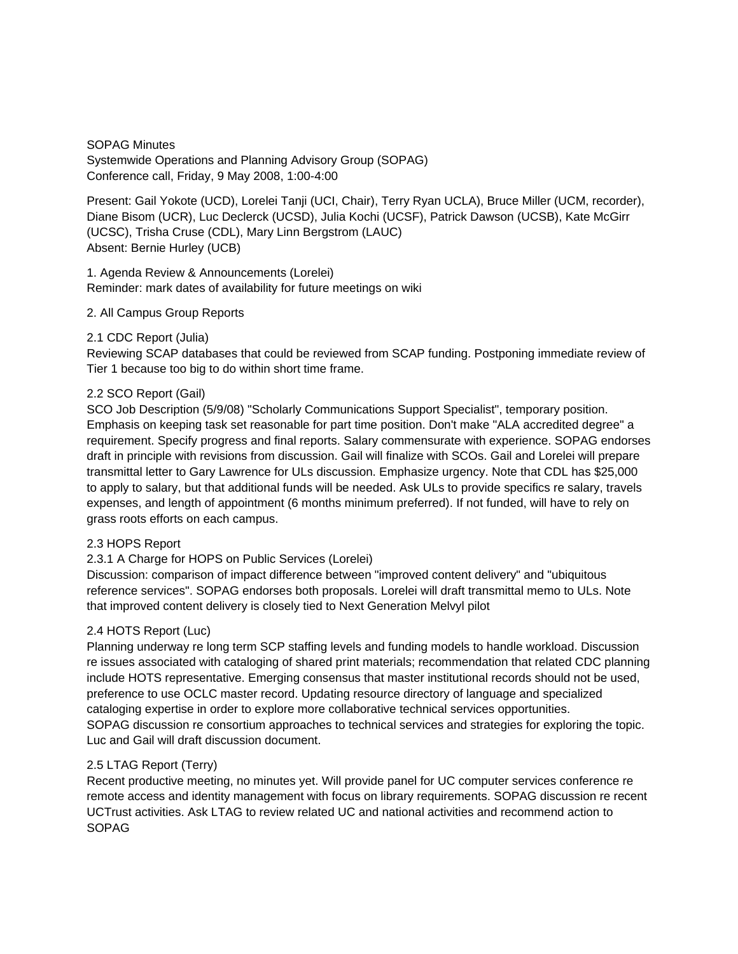SOPAG Minutes Systemwide Operations and Planning Advisory Group (SOPAG) Conference call, Friday, 9 May 2008, 1:00-4:00

Present: Gail Yokote (UCD), Lorelei Tanji (UCI, Chair), Terry Ryan UCLA), Bruce Miller (UCM, recorder), Diane Bisom (UCR), Luc Declerck (UCSD), Julia Kochi (UCSF), Patrick Dawson (UCSB), Kate McGirr (UCSC), Trisha Cruse (CDL), Mary Linn Bergstrom (LAUC) Absent: Bernie Hurley (UCB)

1. Agenda Review & Announcements (Lorelei) Reminder: mark dates of availability for future meetings on wiki

# 2. All Campus Group Reports

## 2.1 CDC Report (Julia)

Reviewing SCAP databases that could be reviewed from SCAP funding. Postponing immediate review of Tier 1 because too big to do within short time frame.

## 2.2 SCO Report (Gail)

SCO Job Description (5/9/08) "Scholarly Communications Support Specialist", temporary position. Emphasis on keeping task set reasonable for part time position. Don't make "ALA accredited degree" a requirement. Specify progress and final reports. Salary commensurate with experience. SOPAG endorses draft in principle with revisions from discussion. Gail will finalize with SCOs. Gail and Lorelei will prepare transmittal letter to Gary Lawrence for ULs discussion. Emphasize urgency. Note that CDL has \$25,000 to apply to salary, but that additional funds will be needed. Ask ULs to provide specifics re salary, travels expenses, and length of appointment (6 months minimum preferred). If not funded, will have to rely on grass roots efforts on each campus.

#### 2.3 HOPS Report

# 2.3.1 A Charge for HOPS on Public Services (Lorelei)

Discussion: comparison of impact difference between "improved content delivery" and "ubiquitous reference services". SOPAG endorses both proposals. Lorelei will draft transmittal memo to ULs. Note that improved content delivery is closely tied to Next Generation Melvyl pilot

#### 2.4 HOTS Report (Luc)

Planning underway re long term SCP staffing levels and funding models to handle workload. Discussion re issues associated with cataloging of shared print materials; recommendation that related CDC planning include HOTS representative. Emerging consensus that master institutional records should not be used, preference to use OCLC master record. Updating resource directory of language and specialized cataloging expertise in order to explore more collaborative technical services opportunities. SOPAG discussion re consortium approaches to technical services and strategies for exploring the topic. Luc and Gail will draft discussion document.

#### 2.5 LTAG Report (Terry)

Recent productive meeting, no minutes yet. Will provide panel for UC computer services conference re remote access and identity management with focus on library requirements. SOPAG discussion re recent UCTrust activities. Ask LTAG to review related UC and national activities and recommend action to SOPAG